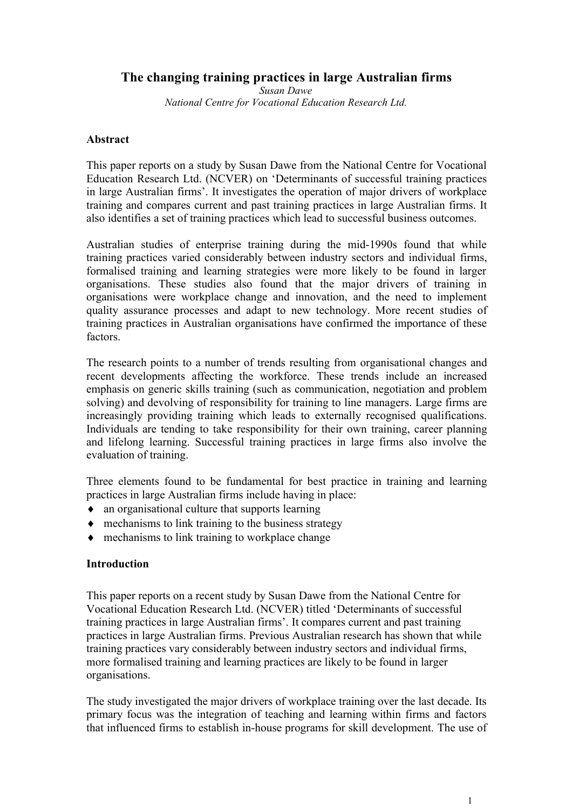# **The changing training practices in large Australian firms**

*Susan Dawe National Centre for Vocational Education Research Ltd.*

## **Abstract**

This paper reports on a study by Susan Dawe from the National Centre for Vocational Education Research Ltd. (NCVER) on 'Determinants of successful training practices in large Australian firms'. It investigates the operation of major drivers of workplace training and compares current and past training practices in large Australian firms. It also identifies a set of training practices which lead to successful business outcomes.

Australian studies of enterprise training during the mid-1990s found that while training practices varied considerably between industry sectors and individual firms, formalised training and learning strategies were more likely to be found in larger organisations. These studies also found that the major drivers of training in organisations were workplace change and innovation, and the need to implement quality assurance processes and adapt to new technology. More recent studies of training practices in Australian organisations have confirmed the importance of these factors.

The research points to a number of trends resulting from organisational changes and recent developments affecting the workforce. These trends include an increased emphasis on generic skills training (such as communication, negotiation and problem solving) and devolving of responsibility for training to line managers. Large firms are increasingly providing training which leads to externally recognised qualifications. Individuals are tending to take responsibility for their own training, career planning and lifelong learning. Successful training practices in large firms also involve the evaluation of training.

Three elements found to be fundamental for best practice in training and learning practices in large Australian firms include having in place:

- an organisational culture that supports learning
- $\bullet$  mechanisms to link training to the business strategy
- $\bullet$  mechanisms to link training to workplace change

## **Introduction**

This paper reports on a recent study by Susan Dawe from the National Centre for Vocational Education Research Ltd. (NCVER) titled 'Determinants of successful training practices in large Australian firms'. It compares current and past training practices in large Australian firms. Previous Australian research has shown that while training practices vary considerably between industry sectors and individual firms, more formalised training and learning practices are likely to be found in larger organisations.

The study investigated the major drivers of workplace training over the last decade. Its primary focus was the integration of teaching and learning within firms and factors that influenced firms to establish in-house programs for skill development. The use of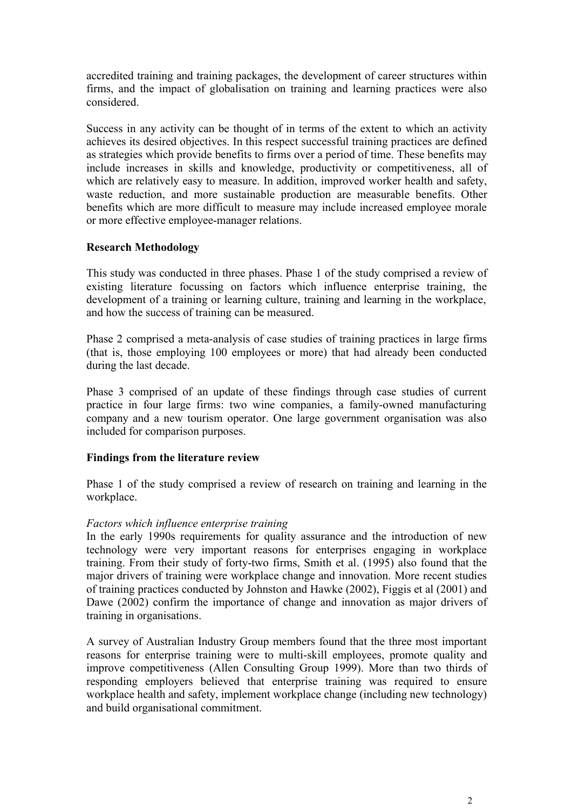accredited training and training packages, the development of career structures within firms, and the impact of globalisation on training and learning practices were also considered.

Success in any activity can be thought of in terms of the extent to which an activity achieves its desired objectives. In this respect successful training practices are defined as strategies which provide benefits to firms over a period of time. These benefits may include increases in skills and knowledge, productivity or competitiveness, all of which are relatively easy to measure. In addition, improved worker health and safety, waste reduction, and more sustainable production are measurable benefits. Other benefits which are more difficult to measure may include increased employee morale or more effective employee-manager relations.

## **Research Methodology**

This study was conducted in three phases. Phase 1 of the study comprised a review of existing literature focussing on factors which influence enterprise training, the development of a training or learning culture, training and learning in the workplace, and how the success of training can be measured.

Phase 2 comprised a meta-analysis of case studies of training practices in large firms (that is, those employing 100 employees or more) that had already been conducted during the last decade.

Phase 3 comprised of an update of these findings through case studies of current practice in four large firms: two wine companies, a family-owned manufacturing company and a new tourism operator. One large government organisation was also included for comparison purposes.

## **Findings from the literature review**

Phase 1 of the study comprised a review of research on training and learning in the workplace.

## *Factors which influence enterprise training*

In the early 1990s requirements for quality assurance and the introduction of new technology were very important reasons for enterprises engaging in workplace training. From their study of forty-two firms, Smith et al. (1995) also found that the major drivers of training were workplace change and innovation. More recent studies of training practices conducted by Johnston and Hawke (2002), Figgis et al (2001) and Dawe (2002) confirm the importance of change and innovation as major drivers of training in organisations.

A survey of Australian Industry Group members found that the three most important reasons for enterprise training were to multi-skill employees, promote quality and improve competitiveness (Allen Consulting Group 1999). More than two thirds of responding employers believed that enterprise training was required to ensure workplace health and safety, implement workplace change (including new technology) and build organisational commitment.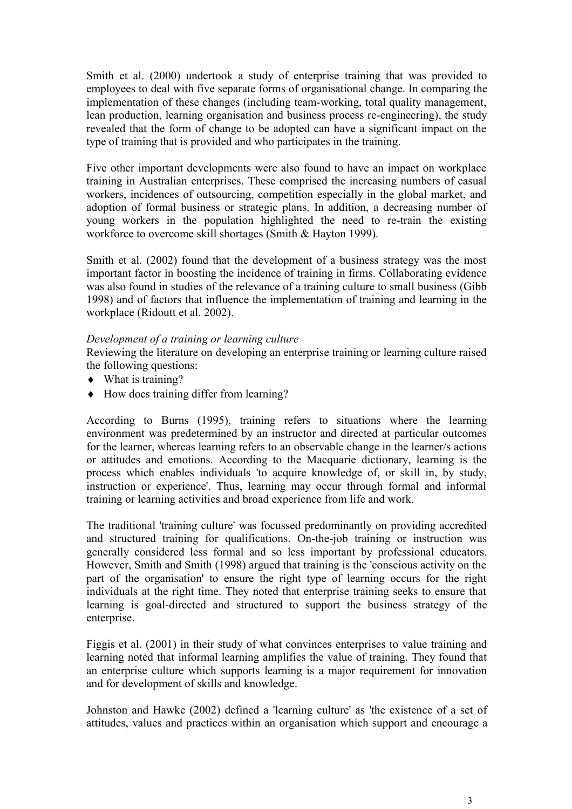Smith et al. (2000) undertook a study of enterprise training that was provided to employees to deal with five separate forms of organisational change. In comparing the implementation of these changes (including team-working, total quality management, lean production, learning organisation and business process re-engineering), the study revealed that the form of change to be adopted can have a significant impact on the type of training that is provided and who participates in the training.

Five other important developments were also found to have an impact on workplace training in Australian enterprises. These comprised the increasing numbers of casual workers, incidences of outsourcing, competition especially in the global market, and adoption of formal business or strategic plans. In addition, a decreasing number of young workers in the population highlighted the need to re-train the existing workforce to overcome skill shortages (Smith & Hayton 1999).

Smith et al. (2002) found that the development of a business strategy was the most important factor in boosting the incidence of training in firms. Collaborating evidence was also found in studies of the relevance of a training culture to small business (Gibb 1998) and of factors that influence the implementation of training and learning in the workplace (Ridoutt et al. 2002).

## *Development of a training or learning culture*

Reviewing the literature on developing an enterprise training or learning culture raised the following questions:

- $\blacklozenge$  What is training?
- How does training differ from learning?

According to Burns (1995), training refers to situations where the learning environment was predetermined by an instructor and directed at particular outcomes for the learner, whereas learning refers to an observable change in the learner/s actions or attitudes and emotions. According to the Macquarie dictionary, learning is the process which enables individuals 'to acquire knowledge of, or skill in, by study, instruction or experience'. Thus, learning may occur through formal and informal training or learning activities and broad experience from life and work.

The traditional 'training culture' was focussed predominantly on providing accredited and structured training for qualifications. On-the-job training or instruction was generally considered less formal and so less important by professional educators. However, Smith and Smith (1998) argued that training is the 'conscious activity on the part of the organisation' to ensure the right type of learning occurs for the right individuals at the right time. They noted that enterprise training seeks to ensure that learning is goal-directed and structured to support the business strategy of the enterprise.

Figgis et al. (2001) in their study of what convinces enterprises to value training and learning noted that informal learning amplifies the value of training. They found that an enterprise culture which supports learning is a major requirement for innovation and for development of skills and knowledge.

Johnston and Hawke (2002) defined a 'learning culture' as 'the existence of a set of attitudes, values and practices within an organisation which support and encourage a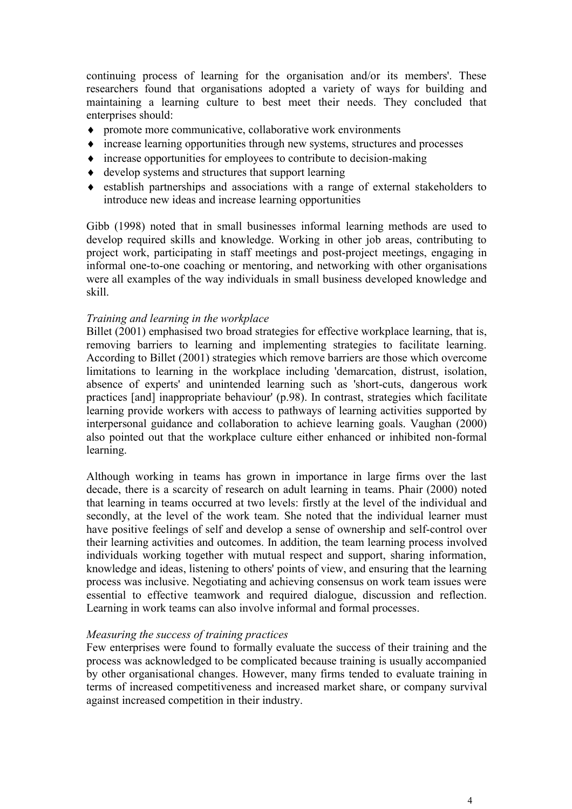continuing process of learning for the organisation and/or its members'. These researchers found that organisations adopted a variety of ways for building and maintaining a learning culture to best meet their needs. They concluded that enterprises should:

- promote more communicative, collaborative work environments
- increase learning opportunities through new systems, structures and processes
- $\bullet$  increase opportunities for employees to contribute to decision-making
- develop systems and structures that support learning
- establish partnerships and associations with a range of external stakeholders to introduce new ideas and increase learning opportunities

Gibb (1998) noted that in small businesses informal learning methods are used to develop required skills and knowledge. Working in other job areas, contributing to project work, participating in staff meetings and post-project meetings, engaging in informal one-to-one coaching or mentoring, and networking with other organisations were all examples of the way individuals in small business developed knowledge and skill.

## *Training and learning in the workplace*

Billet (2001) emphasised two broad strategies for effective workplace learning, that is, removing barriers to learning and implementing strategies to facilitate learning. According to Billet (2001) strategies which remove barriers are those which overcome limitations to learning in the workplace including 'demarcation, distrust, isolation, absence of experts' and unintended learning such as 'short-cuts, dangerous work practices [and] inappropriate behaviour' (p.98). In contrast, strategies which facilitate learning provide workers with access to pathways of learning activities supported by interpersonal guidance and collaboration to achieve learning goals. Vaughan (2000) also pointed out that the workplace culture either enhanced or inhibited non-formal learning.

Although working in teams has grown in importance in large firms over the last decade, there is a scarcity of research on adult learning in teams. Phair (2000) noted that learning in teams occurred at two levels: firstly at the level of the individual and secondly, at the level of the work team. She noted that the individual learner must have positive feelings of self and develop a sense of ownership and self-control over their learning activities and outcomes. In addition, the team learning process involved individuals working together with mutual respect and support, sharing information, knowledge and ideas, listening to others' points of view, and ensuring that the learning process was inclusive. Negotiating and achieving consensus on work team issues were essential to effective teamwork and required dialogue, discussion and reflection. Learning in work teams can also involve informal and formal processes.

## *Measuring the success of training practices*

Few enterprises were found to formally evaluate the success of their training and the process was acknowledged to be complicated because training is usually accompanied by other organisational changes. However, many firms tended to evaluate training in terms of increased competitiveness and increased market share, or company survival against increased competition in their industry.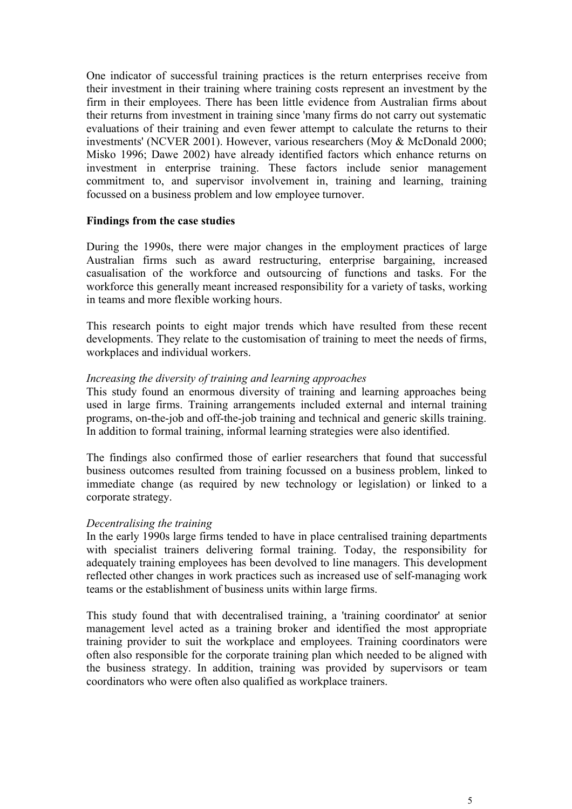One indicator of successful training practices is the return enterprises receive from their investment in their training where training costs represent an investment by the firm in their employees. There has been little evidence from Australian firms about their returns from investment in training since 'many firms do not carry out systematic evaluations of their training and even fewer attempt to calculate the returns to their investments' (NCVER 2001). However, various researchers (Moy & McDonald 2000; Misko 1996; Dawe 2002) have already identified factors which enhance returns on investment in enterprise training. These factors include senior management commitment to, and supervisor involvement in, training and learning, training focussed on a business problem and low employee turnover.

#### **Findings from the case studies**

During the 1990s, there were major changes in the employment practices of large Australian firms such as award restructuring, enterprise bargaining, increased casualisation of the workforce and outsourcing of functions and tasks. For the workforce this generally meant increased responsibility for a variety of tasks, working in teams and more flexible working hours.

This research points to eight major trends which have resulted from these recent developments. They relate to the customisation of training to meet the needs of firms, workplaces and individual workers.

#### *Increasing the diversity of training and learning approaches*

This study found an enormous diversity of training and learning approaches being used in large firms. Training arrangements included external and internal training programs, on-the-job and off-the-job training and technical and generic skills training. In addition to formal training, informal learning strategies were also identified.

The findings also confirmed those of earlier researchers that found that successful business outcomes resulted from training focussed on a business problem, linked to immediate change (as required by new technology or legislation) or linked to a corporate strategy.

#### *Decentralising the training*

In the early 1990s large firms tended to have in place centralised training departments with specialist trainers delivering formal training. Today, the responsibility for adequately training employees has been devolved to line managers. This development reflected other changes in work practices such as increased use of self-managing work teams or the establishment of business units within large firms.

This study found that with decentralised training, a 'training coordinator' at senior management level acted as a training broker and identified the most appropriate training provider to suit the workplace and employees. Training coordinators were often also responsible for the corporate training plan which needed to be aligned with the business strategy. In addition, training was provided by supervisors or team coordinators who were often also qualified as workplace trainers.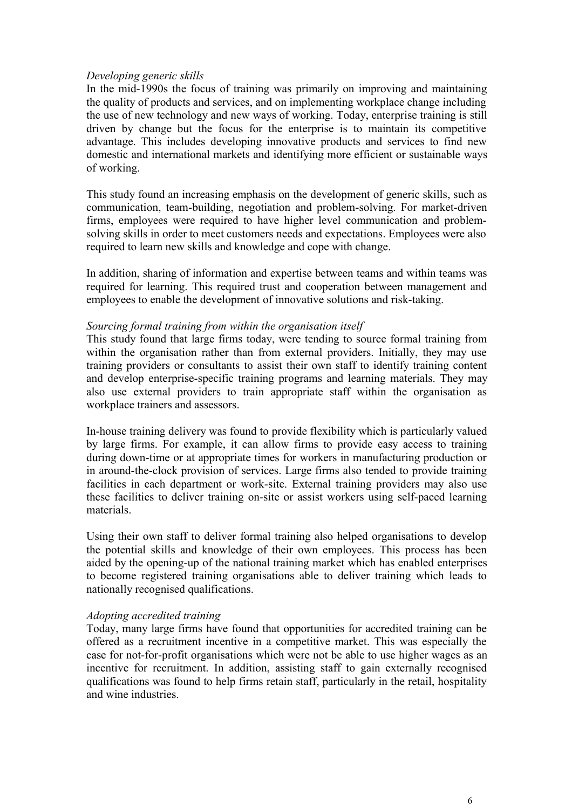#### *Developing generic skills*

In the mid-1990s the focus of training was primarily on improving and maintaining the quality of products and services, and on implementing workplace change including the use of new technology and new ways of working. Today, enterprise training is still driven by change but the focus for the enterprise is to maintain its competitive advantage. This includes developing innovative products and services to find new domestic and international markets and identifying more efficient or sustainable ways of working.

This study found an increasing emphasis on the development of generic skills, such as communication, team-building, negotiation and problem-solving. For market-driven firms, employees were required to have higher level communication and problemsolving skills in order to meet customers needs and expectations. Employees were also required to learn new skills and knowledge and cope with change.

In addition, sharing of information and expertise between teams and within teams was required for learning. This required trust and cooperation between management and employees to enable the development of innovative solutions and risk-taking.

#### *Sourcing formal training from within the organisation itself*

This study found that large firms today, were tending to source formal training from within the organisation rather than from external providers. Initially, they may use training providers or consultants to assist their own staff to identify training content and develop enterprise-specific training programs and learning materials. They may also use external providers to train appropriate staff within the organisation as workplace trainers and assessors.

In-house training delivery was found to provide flexibility which is particularly valued by large firms. For example, it can allow firms to provide easy access to training during down-time or at appropriate times for workers in manufacturing production or in around-the-clock provision of services. Large firms also tended to provide training facilities in each department or work-site. External training providers may also use these facilities to deliver training on-site or assist workers using self-paced learning materials.

Using their own staff to deliver formal training also helped organisations to develop the potential skills and knowledge of their own employees. This process has been aided by the opening-up of the national training market which has enabled enterprises to become registered training organisations able to deliver training which leads to nationally recognised qualifications.

#### *Adopting accredited training*

Today, many large firms have found that opportunities for accredited training can be offered as a recruitment incentive in a competitive market. This was especially the case for not-for-profit organisations which were not be able to use higher wages as an incentive for recruitment. In addition, assisting staff to gain externally recognised qualifications was found to help firms retain staff, particularly in the retail, hospitality and wine industries.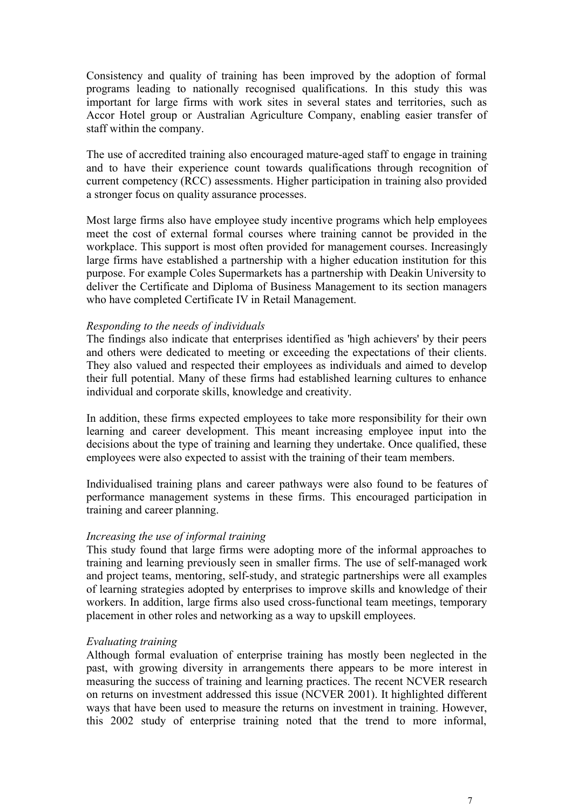Consistency and quality of training has been improved by the adoption of formal programs leading to nationally recognised qualifications. In this study this was important for large firms with work sites in several states and territories, such as Accor Hotel group or Australian Agriculture Company, enabling easier transfer of staff within the company.

The use of accredited training also encouraged mature-aged staff to engage in training and to have their experience count towards qualifications through recognition of current competency (RCC) assessments. Higher participation in training also provided a stronger focus on quality assurance processes.

Most large firms also have employee study incentive programs which help employees meet the cost of external formal courses where training cannot be provided in the workplace. This support is most often provided for management courses. Increasingly large firms have established a partnership with a higher education institution for this purpose. For example Coles Supermarkets has a partnership with Deakin University to deliver the Certificate and Diploma of Business Management to its section managers who have completed Certificate IV in Retail Management.

#### *Responding to the needs of individuals*

The findings also indicate that enterprises identified as 'high achievers' by their peers and others were dedicated to meeting or exceeding the expectations of their clients. They also valued and respected their employees as individuals and aimed to develop their full potential. Many of these firms had established learning cultures to enhance individual and corporate skills, knowledge and creativity.

In addition, these firms expected employees to take more responsibility for their own learning and career development. This meant increasing employee input into the decisions about the type of training and learning they undertake. Once qualified, these employees were also expected to assist with the training of their team members.

Individualised training plans and career pathways were also found to be features of performance management systems in these firms. This encouraged participation in training and career planning.

## *Increasing the use of informal training*

This study found that large firms were adopting more of the informal approaches to training and learning previously seen in smaller firms. The use of self-managed work and project teams, mentoring, self-study, and strategic partnerships were all examples of learning strategies adopted by enterprises to improve skills and knowledge of their workers. In addition, large firms also used cross-functional team meetings, temporary placement in other roles and networking as a way to upskill employees.

## *Evaluating training*

Although formal evaluation of enterprise training has mostly been neglected in the past, with growing diversity in arrangements there appears to be more interest in measuring the success of training and learning practices. The recent NCVER research on returns on investment addressed this issue (NCVER 2001). It highlighted different ways that have been used to measure the returns on investment in training. However, this 2002 study of enterprise training noted that the trend to more informal,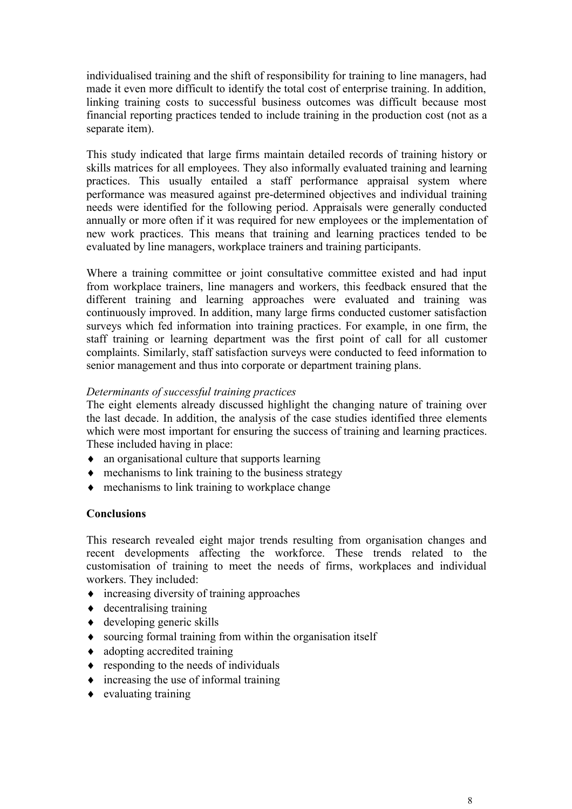individualised training and the shift of responsibility for training to line managers, had made it even more difficult to identify the total cost of enterprise training. In addition, linking training costs to successful business outcomes was difficult because most financial reporting practices tended to include training in the production cost (not as a separate item).

This study indicated that large firms maintain detailed records of training history or skills matrices for all employees. They also informally evaluated training and learning practices. This usually entailed a staff performance appraisal system where performance was measured against pre-determined objectives and individual training needs were identified for the following period. Appraisals were generally conducted annually or more often if it was required for new employees or the implementation of new work practices. This means that training and learning practices tended to be evaluated by line managers, workplace trainers and training participants.

Where a training committee or joint consultative committee existed and had input from workplace trainers, line managers and workers, this feedback ensured that the different training and learning approaches were evaluated and training was continuously improved. In addition, many large firms conducted customer satisfaction surveys which fed information into training practices. For example, in one firm, the staff training or learning department was the first point of call for all customer complaints. Similarly, staff satisfaction surveys were conducted to feed information to senior management and thus into corporate or department training plans.

## *Determinants of successful training practices*

The eight elements already discussed highlight the changing nature of training over the last decade. In addition, the analysis of the case studies identified three elements which were most important for ensuring the success of training and learning practices. These included having in place:

- an organisational culture that supports learning
- $\bullet$  mechanisms to link training to the business strategy
- mechanisms to link training to workplace change

## **Conclusions**

This research revealed eight major trends resulting from organisation changes and recent developments affecting the workforce. These trends related to the customisation of training to meet the needs of firms, workplaces and individual workers. They included:

- $\bullet$  increasing diversity of training approaches
- $\triangle$  decentralising training
- $\triangleleft$  developing generic skills
- sourcing formal training from within the organisation itself
- adopting accredited training
- responding to the needs of individuals
- $\bullet$  increasing the use of informal training
- $\bullet$  evaluating training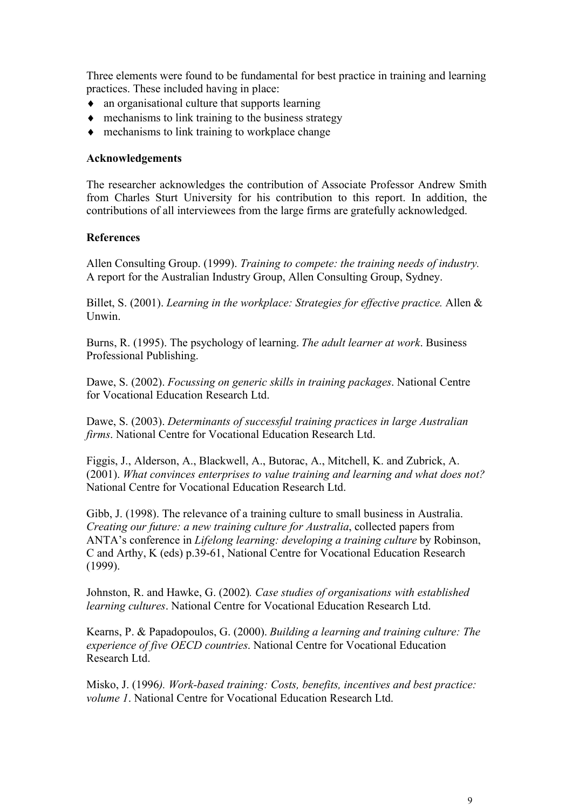Three elements were found to be fundamental for best practice in training and learning practices. These included having in place:

- an organisational culture that supports learning
- $\bullet$  mechanisms to link training to the business strategy
- mechanisms to link training to workplace change

## **Acknowledgements**

The researcher acknowledges the contribution of Associate Professor Andrew Smith from Charles Sturt University for his contribution to this report. In addition, the contributions of all interviewees from the large firms are gratefully acknowledged.

## **References**

Allen Consulting Group. (1999). *Training to compete: the training needs of industry.* A report for the Australian Industry Group, Allen Consulting Group, Sydney.

Billet, S. (2001). *Learning in the workplace: Strategies for effective practice.* Allen & Unwin.

Burns, R. (1995). The psychology of learning. *The adult learner at work*. Business Professional Publishing.

Dawe, S. (2002). *Focussing on generic skills in training packages*. National Centre for Vocational Education Research Ltd.

Dawe, S. (2003). *Determinants of successful training practices in large Australian firms*. National Centre for Vocational Education Research Ltd.

Figgis, J., Alderson, A., Blackwell, A., Butorac, A., Mitchell, K. and Zubrick, A. (2001). *What convinces enterprises to value training and learning and what does not?* National Centre for Vocational Education Research Ltd.

Gibb, J. (1998). The relevance of a training culture to small business in Australia. *Creating our future: a new training culture for Australia*, collected papers from ANTA's conference in *Lifelong learning: developing a training culture* by Robinson, C and Arthy, K (eds) p.39-61, National Centre for Vocational Education Research (1999).

Johnston, R. and Hawke, G. (2002)*. Case studies of organisations with established learning cultures*. National Centre for Vocational Education Research Ltd.

Kearns, P. & Papadopoulos, G. (2000). *Building a learning and training culture: The experience of five OECD countries*. National Centre for Vocational Education Research Ltd.

Misko, J. (1996*). Work-based training: Costs, benefits, incentives and best practice: volume 1*. National Centre for Vocational Education Research Ltd.